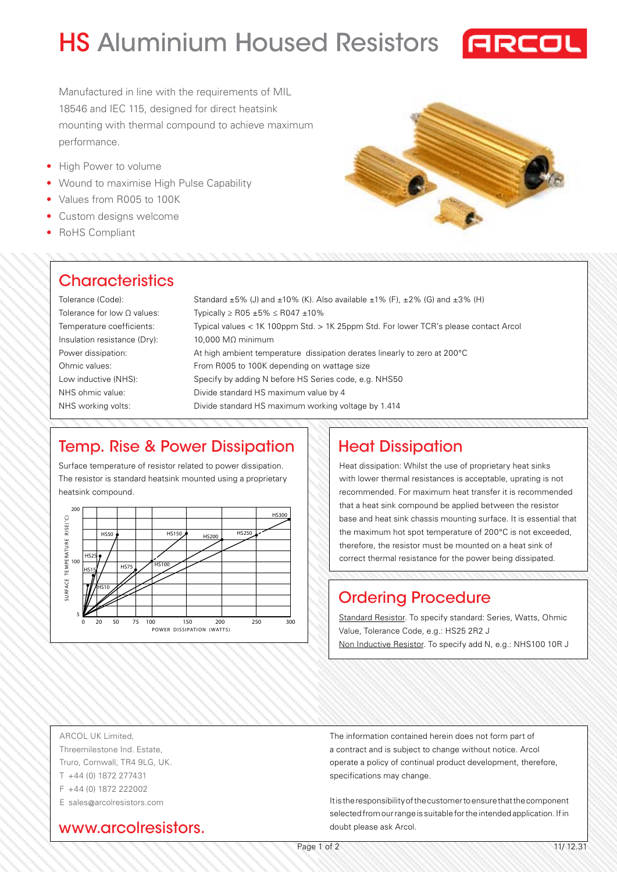# HS Aluminium Housed Resistors **FREEL**



Manufactured in line with the requirements of MIL 18546 and IEC 115, designed for direct heatsink mounting with thermal compound to achieve maximum performance.

- High Power to volume
- Wound to maximise High Pulse Capability
- Values from R005 to 100K
- Custom designs welcome
- RoHS Compliant

### **Characteristics**

Tolerance (Code): Tolerance for low Ω values: Temperature coefficients: Insulation resistance (Dry): Power dissipation: Ohmic values: Low inductive (NHS): NHS ohmic value: NHS working volts: Standard  $\pm 5$ % (J) and  $\pm 10$ % (K). Also available  $\pm 1$ % (F),  $\pm 2$ % (G) and  $\pm 3$ % (H) Typically ≥ R05 ±5% ≤ R047 ±10% Typical values < 1K 100ppm Std. > 1K 25ppm Std. For lower TCR's please contact Arcol 10,000 MΩ minimum At high ambient temperature dissipation derates linearly to zero at 200°C From R005 to 100K depending on wattage size Specify by adding N before HS Series code, e.g. NHS50 Divide standard HS maximum value by 4 Divide standard HS maximum working voltage by 1.414

### Temp. Rise & Power Dissipation

Surface temperature of resistor related to power dissipation. The resistor is standard heatsink mounted using a proprietary heatsink compound.



### Heat Dissipation

Heat dissipation: Whilst the use of proprietary heat sinks with lower thermal resistances is acceptable, uprating is not recommended. For maximum heat transfer it is recommended that a heat sink compound be applied between the resistor base and heat sink chassis mounting surface. It is essential that the maximum hot spot temperature of 200°C is not exceeded, therefore, the resistor must be mounted on a heat sink of correct thermal resistance for the power being dissipated.

# Ordering Procedure

Standard Resistor. To specify standard: Series, Watts, Ohmic Value, Tolerance Code, e.g.: HS25 2R2 J Non Inductive Resistor. To specify add N, e.g.: NHS100 10R J

ARCOL UK Limited, Threemilestone Ind. Estate, Truro, Cornwall, TR4 9LG, UK. T +44 (0) 1872 277431 F +44 (0) 1872 222002 E sales@arcolresistors.com

www.arcolresistors.

The information contained herein does not form part of a contract and is subject to change without notice. Arcol operate a policy of continual product development, therefore, specifications may change.

It is the responsibility of the customer to ensure that the component selected from our range is suitable for the intended application. If in doubt please ask Arcol.